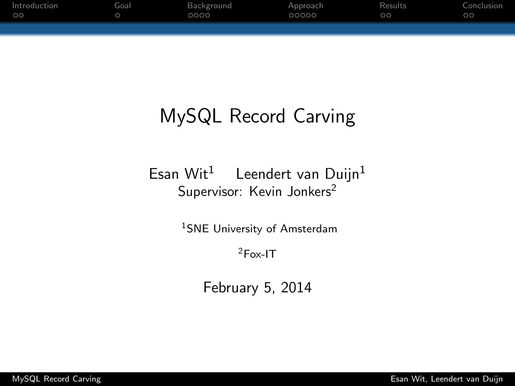| Introduction | Goal | Background | Approach | Results | Conclusion |
|--------------|------|------------|----------|---------|------------|
| 00           |      | 0000       | 00000    | $\circ$ | $\circ$    |
|              |      |            |          |         |            |
|              |      |            |          |         |            |

# MySQL Record Carving

Esan Wit<sup>1</sup> Leendert van Duijn<sup>1</sup> Supervisor: Kevin Jonkers<sup>2</sup>

<sup>1</sup>SNE University of Amsterdam

<span id="page-0-0"></span><sup>2</sup>Fox-IT

February 5, 2014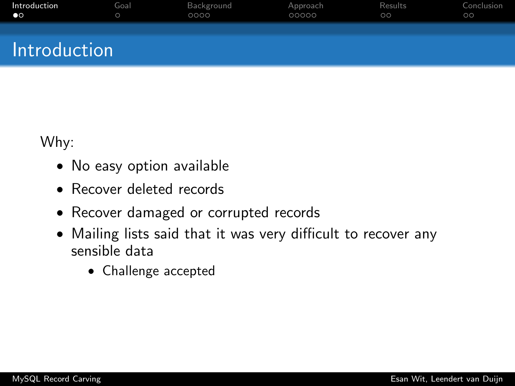| Introduction | Goal | Background | Approach | Results | Conclusion |
|--------------|------|------------|----------|---------|------------|
| $\bullet$    |      | 0000       | 00000    | $\circ$ | $\circ$    |
| Introduction |      |            |          |         |            |

Why:

- No easy option available
- Recover deleted records
- Recover damaged or corrupted records
- <span id="page-1-0"></span>• Mailing lists said that it was very difficult to recover any sensible data
	- Challenge accepted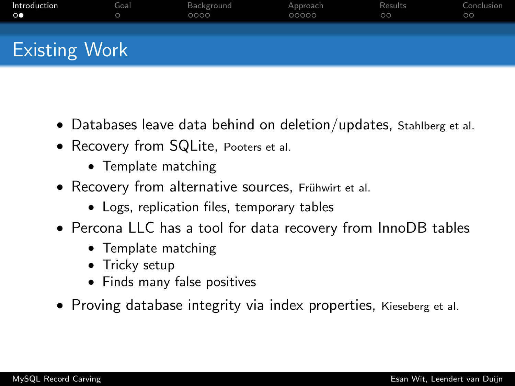| Introduction         | Goal | Background | Approach | Results | Conclusion |
|----------------------|------|------------|----------|---------|------------|
| $\circ\bullet$       |      | 0000       | 00000    | $\circ$ | $\circ$    |
| <b>Existing Work</b> |      |            |          |         |            |

- Databases leave data behind on deletion/updates, Stahlberg et al.
- Recovery from SQLite, Pooters et al.
	- Template matching
- Recovery from alternative sources, Frühwirt et al.
	- Logs, replication files, temporary tables
- Percona LLC has a tool for data recovery from InnoDB tables
	- Template matching
	- Tricky setup
	- Finds many false positives
- Proving database integrity via index properties, Kieseberg et al.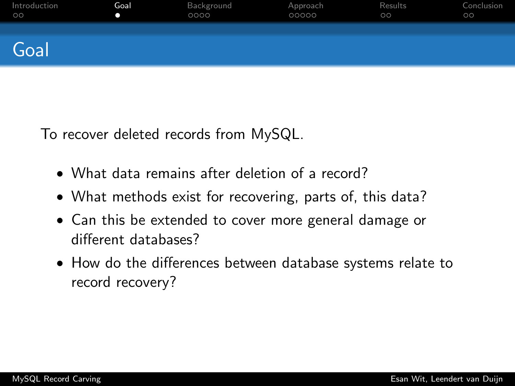| Introduction | Goal | Background | Approach | Results | Conclusion |
|--------------|------|------------|----------|---------|------------|
| $\circ$      | o    | 0000       | 00000    | $\circ$ | $\circ$    |
| Goal         |      |            |          |         |            |

To recover deleted records from MySQL.

- What data remains after deletion of a record?
- What methods exist for recovering, parts of, this data?
- Can this be extended to cover more general damage or different databases?
- <span id="page-3-0"></span>• How do the differences between database systems relate to record recovery?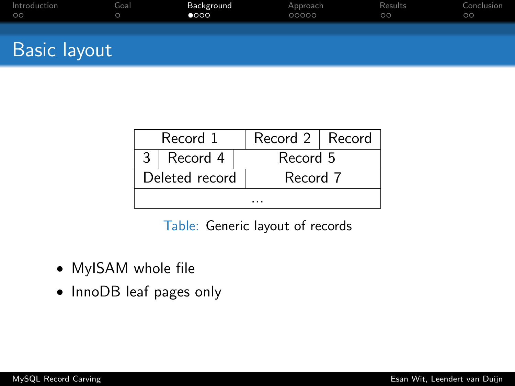| Introduction        | Goal    | Background    | Approach | Results | Conclusion |
|---------------------|---------|---------------|----------|---------|------------|
| $\circ$             | $\circ$ | $\bullet$ 000 | 00000    | $\circ$ | $\circ$    |
| <b>Basic layout</b> |         |               |          |         |            |

|  | Record 1       |  | Record 2   Record |  |  |  |  |  |  |
|--|----------------|--|-------------------|--|--|--|--|--|--|
|  | $3  $ Record 4 |  | Record 5          |  |  |  |  |  |  |
|  | Deleted record |  | Record 7          |  |  |  |  |  |  |
|  |                |  |                   |  |  |  |  |  |  |

<span id="page-4-0"></span>Table: Generic layout of records

- MyISAM whole file
- InnoDB leaf pages only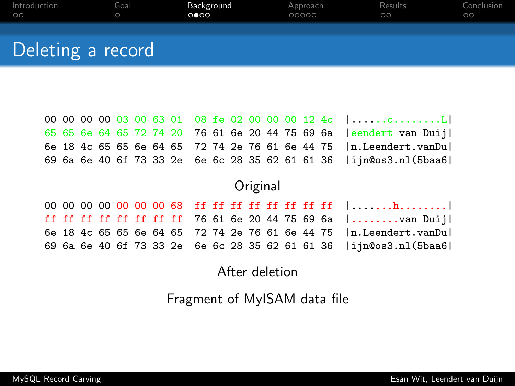| Introduction      | Goal | Background | Approach | Results | Conclusion |
|-------------------|------|------------|----------|---------|------------|
| $\circ$           |      | 0 000      | 00000    | $\circ$ | $\circ$    |
| Deleting a record |      |            |          |         |            |

| 65 65 6e 64 65 72 74 20 76 61 6e 20 44 75 69 6a   eendert van Duij     |  |  |  |  |  |  |  |  |
|------------------------------------------------------------------------|--|--|--|--|--|--|--|--|
| 6e 18 4c 65 65 6e 64 65 72 74 2e 76 61 6e 44 75   n. Leendert. van Dul |  |  |  |  |  |  |  |  |
| 69 6a 6e 40 6f 73 33 2e 6e 6c 28 35 62 61 61 36  ijn@os3.nl(5baa6      |  |  |  |  |  |  |  |  |

#### **Original**

00 00 00 00 00 00 00 68 ff ff ff ff ff ff ff ff |.......h........| ff ff ff ff ff ff ff ff 76 61 6e 20 44 75 69 6a |........van Duij| 6e 18 4c 65 65 6e 64 65 72 74 2e 76 61 6e 44 75 |n.Leendert.vanDu| 69 6a 6e 40 6f 73 33 2e 6e 6c 28 35 62 61 61 36 |ijn@os3.nl(5baa6|

#### After deletion

Fragment of MyISAM data file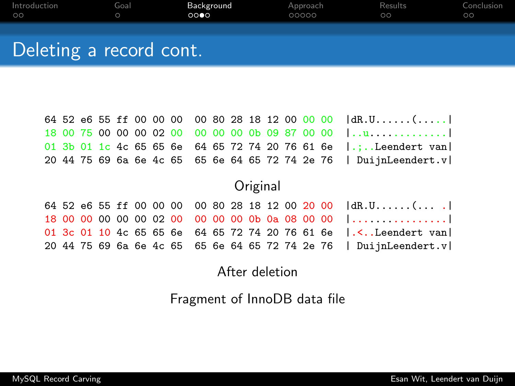| Introduction            | Goal | Background | Approach | Results | Conclusion |
|-------------------------|------|------------|----------|---------|------------|
| $\circ$                 |      | 0000       | 00000    | $\circ$ | $\circ$    |
| Deleting a record cont. |      |            |          |         |            |

|  |  |  |  |  |  |  |  | 64 52 e6 55 ff 00 00 00 00 80 28 18 12 00 00 00 dR.U(             |
|--|--|--|--|--|--|--|--|-------------------------------------------------------------------|
|  |  |  |  |  |  |  |  | $18,00,75,00,00,00,02,00,00,00,00,00,09,87,00,00,1$               |
|  |  |  |  |  |  |  |  | 01 3b 01 1c 4c 65 65 6e 64 65 72 74 20 76 61 6e  .; Leendert van  |
|  |  |  |  |  |  |  |  | 20 44 75 69 6a 6e 4c 65 65 6e 64 65 72 74 2e 76   DuijnLeendert.v |

## **Original**

|  |  |  |  |  |  |  |  | 64 52 e6 55 ff 00 00 00 00 80 28 18 12 00 20 00 dR.U()                                      |
|--|--|--|--|--|--|--|--|---------------------------------------------------------------------------------------------|
|  |  |  |  |  |  |  |  | 18 00 00 00 00 00 02 00 00 00 00 0b 0a 08 00 00 []                                          |
|  |  |  |  |  |  |  |  | 01 3c 01 10 4c 65 65 6e 64 65 72 74 20 76 61 6e  . <leendert td="" van=""  <=""></leendert> |
|  |  |  |  |  |  |  |  | 20 44 75 69 6a 6e 4c 65 65 6e 64 65 72 74 2e 76   DuijnLeendert.v                           |

### After deletion

Fragment of InnoDB data file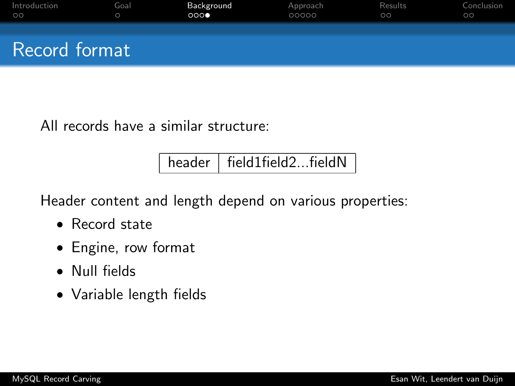| Introduction  | Goal       | Background | Approach | Results | Conclusion |
|---------------|------------|------------|----------|---------|------------|
| $\circ$       | $\bigcirc$ | 000        | 00000    | $\circ$ | $\circ$    |
| Record format |            |            |          |         |            |

All records have a similar structure:

 $header$   $\vert$  field1field2...fieldN

Header content and length depend on various properties:

- Record state
- Engine, row format
- Null fields
- Variable length fields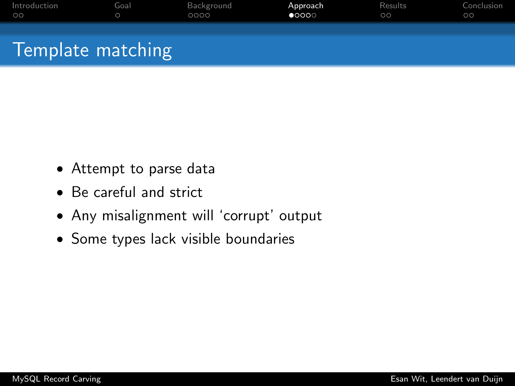| Introduction      | Goal    | Background | Approach       | Results | Conclusion |
|-------------------|---------|------------|----------------|---------|------------|
| $\circ$           | $\circ$ | 0000       | $\bullet$ 0000 | $\circ$ | $\circ$    |
| Template matching |         |            |                |         |            |

- Attempt to parse data
- Be careful and strict
- Any misalignment will 'corrupt' output
- <span id="page-8-0"></span>• Some types lack visible boundaries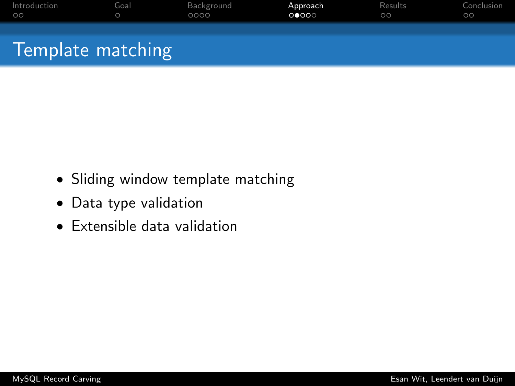| Introduction      | Goal | Background | Approach | <b>Results</b> | Conclusion |
|-------------------|------|------------|----------|----------------|------------|
| $\circ$           |      | 0000       | 00000    | $\circ$        | $\circ$    |
| Template matching |      |            |          |                |            |

- Sliding window template matching
- Data type validation
- Extensible data validation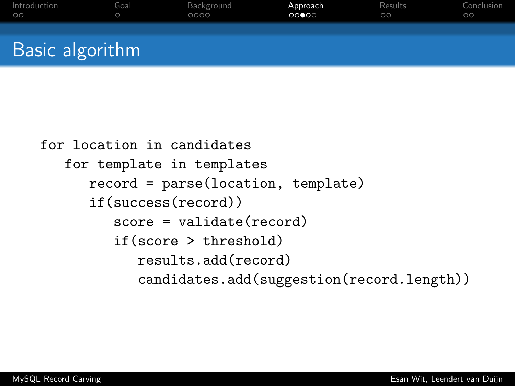| Introduction    | Goal | Background | Approach | Results | Conclusion |
|-----------------|------|------------|----------|---------|------------|
| $\circ$         |      | 0000       | 00000    | $\circ$ | $\circ$    |
| Basic algorithm |      |            |          |         |            |

```
for location in candidates
for template in templates
   record = parse(location, template)
   if(success(record))
      score = validate(record)
      if(score > threshold)
         results.add(record)
         candidates.add(suggestion(record.length))
```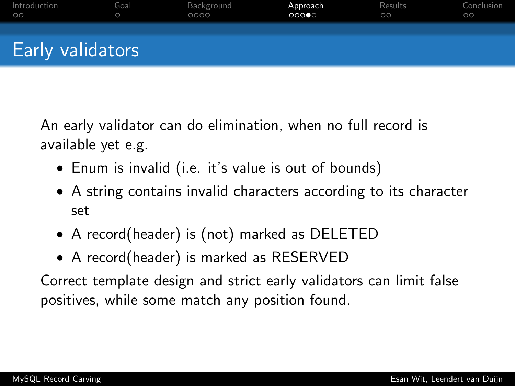| Introduction            | Goal | Background | Approach | Results | Conclusion |
|-------------------------|------|------------|----------|---------|------------|
| $\circ$                 |      | 0000       | 00000    | $\circ$ | $\circ$    |
| <b>Early validators</b> |      |            |          |         |            |

An early validator can do elimination, when no full record is available yet e.g.

- Enum is invalid (i.e. it's value is out of bounds)
- A string contains invalid characters according to its character set
- A record(header) is (not) marked as DELETED
- A record(header) is marked as RESERVED

Correct template design and strict early validators can limit false positives, while some match any position found.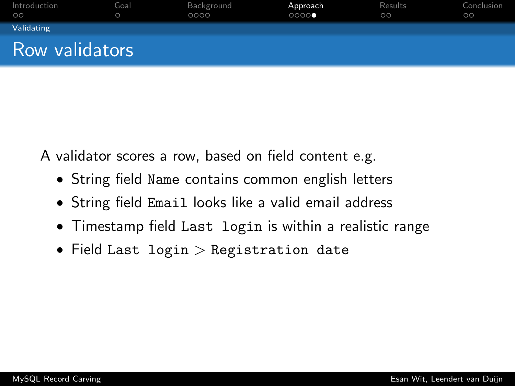| Introduction<br>$\circ$ | Goal<br>$\circ$ | Background<br>0000 | Approach<br>0000 | Results<br>$\circ$ | Conclusion<br>$\circ$ |
|-------------------------|-----------------|--------------------|------------------|--------------------|-----------------------|
| Validating              |                 |                    |                  |                    |                       |
| Row validators          |                 |                    |                  |                    |                       |

A validator scores a row, based on field content e.g.

- String field Name contains common english letters
- String field Email looks like a valid email address
- Timestamp field Last login is within a realistic range
- Field Last login > Registration date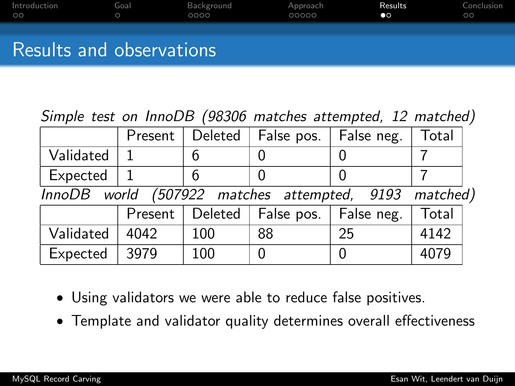| Introduction             | Goal | Background | Approach | Results   | Conclusion |
|--------------------------|------|------------|----------|-----------|------------|
| $\circ$                  |      | 0000       | 00000    | $\bullet$ | ററ         |
| Results and observations |      |            |          |           |            |

Simple test on InnoDB (98306 matches attempted, 12 matched)

|                                                       | Present | Deleted | False pos. | False neg. | Total |  |
|-------------------------------------------------------|---------|---------|------------|------------|-------|--|
| Validated                                             |         | 6       |            |            |       |  |
| Expected                                              |         | 6       |            |            |       |  |
| InnoDB world (507922 matches attempted, 9193 matched) |         |         |            |            |       |  |
|                                                       | Present | Deleted | False pos. | False neg. | Total |  |
| Validated                                             | 4042    | 100     | 88         | 25         | 4142  |  |
| Expected                                              | 3979    | 100     |            |            | 4079  |  |

- Using validators we were able to reduce false positives.
- <span id="page-13-0"></span>• Template and validator quality determines overall effectiveness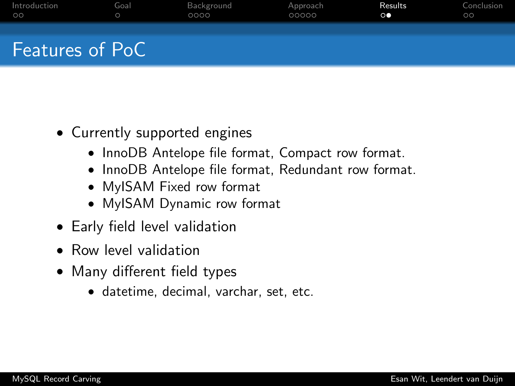| Introduction           | Goal    | Background | Approach | Results        | Conclusion |
|------------------------|---------|------------|----------|----------------|------------|
| $\circ$                | $\circ$ | 0000       | 00000    | $\circ\bullet$ | $\circ$    |
| <b>Features of PoC</b> |         |            |          |                |            |

- Currently supported engines
	- InnoDB Antelope file format, Compact row format.
	- InnoDB Antelope file format, Redundant row format.
	- MyISAM Fixed row format
	- MyISAM Dynamic row format
- Early field level validation
- Row level validation
- Many different field types
	- datetime, decimal, varchar, set, etc.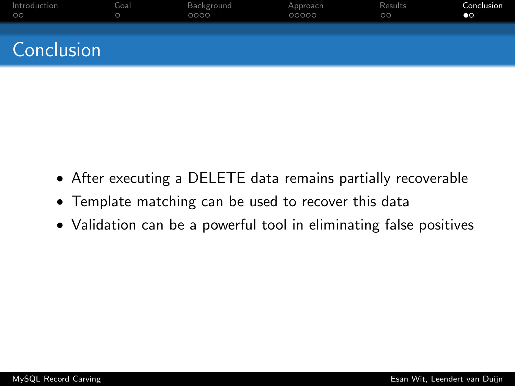| Introduction | Goal | Background | Approach | Results | Conclusion |
|--------------|------|------------|----------|---------|------------|
| $\circ$      |      | 0000       | 00000    | $\circ$ | $\bullet$  |
| Conclusion   |      |            |          |         |            |

- After executing a DELETE data remains partially recoverable
- Template matching can be used to recover this data
- <span id="page-15-0"></span>• Validation can be a powerful tool in eliminating false positives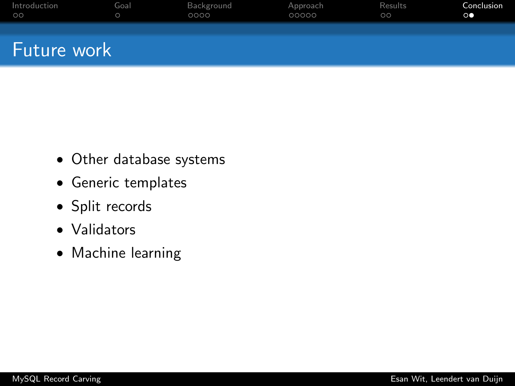| Introduction | Goal | Background | Approach | Results | Conclusion     |
|--------------|------|------------|----------|---------|----------------|
| $\circ$      |      | 0000       | 00000    | $\circ$ | $\circ\bullet$ |
| Future work  |      |            |          |         |                |

- Other database systems
- Generic templates
- Split records
- Validators
- Machine learning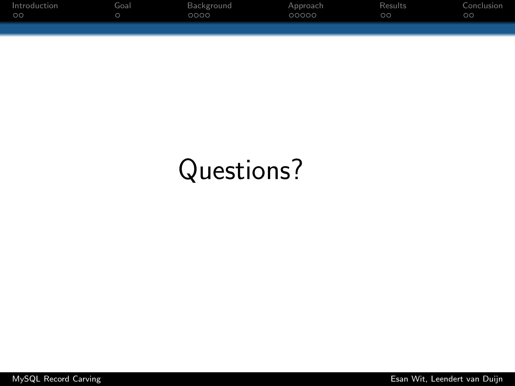| Introduction | Goal | Background | Approach | Results | Conclusion |
|--------------|------|------------|----------|---------|------------|
| $\circ$      |      | 0000       | 00000    | $\circ$ | $\circ$    |
|              |      |            |          |         |            |
|              |      |            |          |         |            |

# Questions?